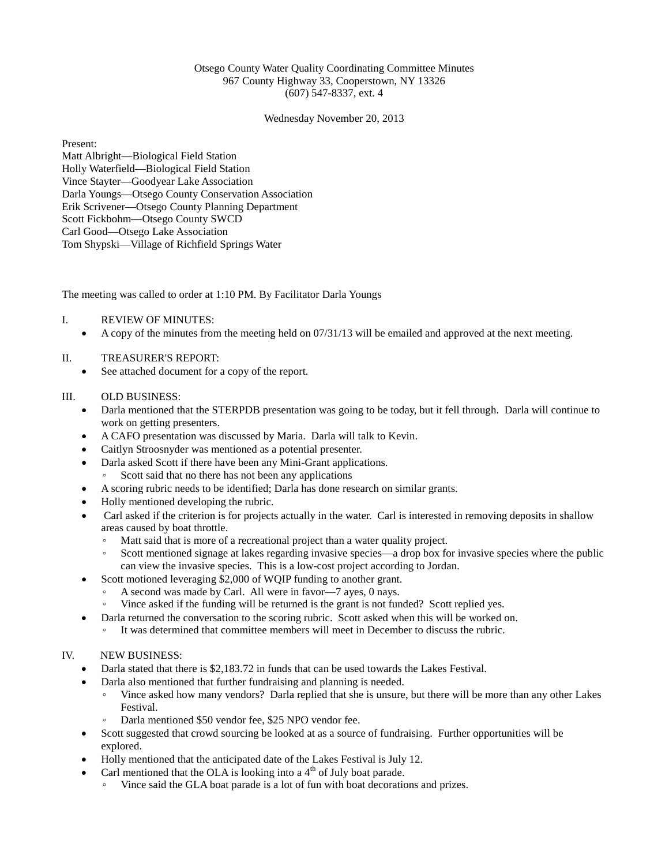# Otsego County Water Quality Coordinating Committee Minutes 967 County Highway 33, Cooperstown, NY 13326 (607) 547-8337, ext. 4

Wednesday November 20, 2013

Present:

Matt Albright—Biological Field Station Holly Waterfield—Biological Field Station Vince Stayter—Goodyear Lake Association Darla Youngs—Otsego County Conservation Association Erik Scrivener—Otsego County Planning Department Scott Fickbohm—Otsego County SWCD Carl Good—Otsego Lake Association Tom Shypski—Village of Richfield Springs Water

The meeting was called to order at 1:10 PM. By Facilitator Darla Youngs

### I. REVIEW OF MINUTES:

• A copy of the minutes from the meeting held on 07/31/13 will be emailed and approved at the next meeting.

# II. TREASURER'S REPORT:

See attached document for a copy of the report.

#### III. OLD BUSINESS:

- Darla mentioned that the STERPDB presentation was going to be today, but it fell through. Darla will continue to work on getting presenters.
- A CAFO presentation was discussed by Maria. Darla will talk to Kevin.
- Caitlyn Stroosnyder was mentioned as a potential presenter.
- Darla asked Scott if there have been any Mini-Grant applications.
	- Scott said that no there has not been any applications
- A scoring rubric needs to be identified; Darla has done research on similar grants.
- Holly mentioned developing the rubric.
- Carl asked if the criterion is for projects actually in the water. Carl is interested in removing deposits in shallow areas caused by boat throttle.
	- Matt said that is more of a recreational project than a water quality project.
	- Scott mentioned signage at lakes regarding invasive species—a drop box for invasive species where the public can view the invasive species. This is a low-cost project according to Jordan.
- Scott motioned leveraging \$2,000 of WQIP funding to another grant.
	- A second was made by Carl. All were in favor—7 ayes, 0 nays.
	- Vince asked if the funding will be returned is the grant is not funded? Scott replied yes.
- Darla returned the conversation to the scoring rubric. Scott asked when this will be worked on.
	- It was determined that committee members will meet in December to discuss the rubric.

# IV. NEW BUSINESS:

- Darla stated that there is \$2,183.72 in funds that can be used towards the Lakes Festival.
- Darla also mentioned that further fundraising and planning is needed.
	- Vince asked how many vendors? Darla replied that she is unsure, but there will be more than any other Lakes Festival.
	- Darla mentioned \$50 vendor fee, \$25 NPO vendor fee.
- Scott suggested that crowd sourcing be looked at as a source of fundraising. Further opportunities will be explored.
- Holly mentioned that the anticipated date of the Lakes Festival is July 12.
- Carl mentioned that the OLA is looking into a  $4<sup>th</sup>$  of July boat parade.
	- Vince said the GLA boat parade is a lot of fun with boat decorations and prizes.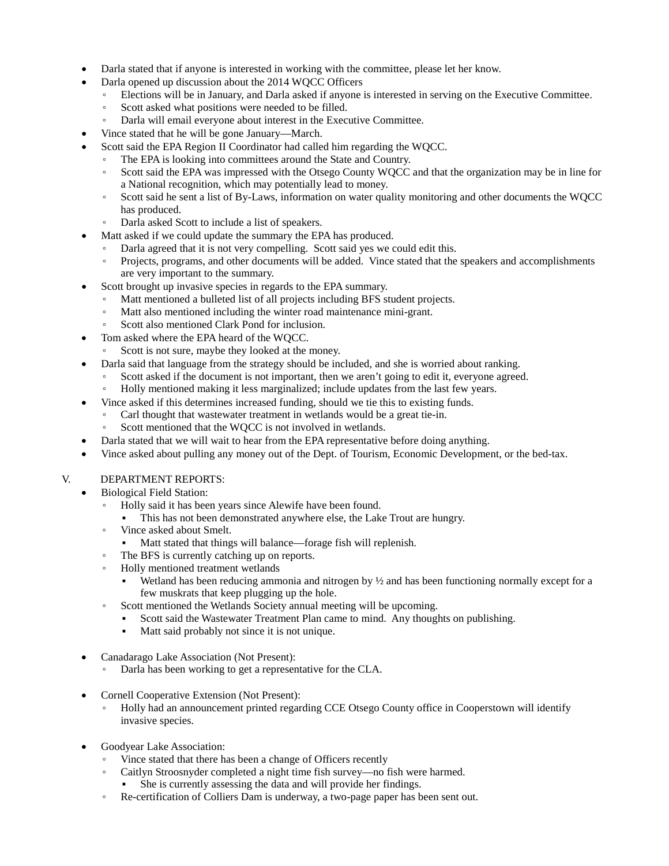- Darla stated that if anyone is interested in working with the committee, please let her know.
- Darla opened up discussion about the 2014 WQCC Officers
	- Elections will be in January, and Darla asked if anyone is interested in serving on the Executive Committee.
	- Scott asked what positions were needed to be filled.
	- Darla will email everyone about interest in the Executive Committee.
- Vince stated that he will be gone January—March.
- Scott said the EPA Region II Coordinator had called him regarding the WOCC.
	- The EPA is looking into committees around the State and Country.
	- Scott said the EPA was impressed with the Otsego County WQCC and that the organization may be in line for a National recognition, which may potentially lead to money.
	- Scott said he sent a list of By-Laws, information on water quality monitoring and other documents the WQCC has produced.
	- Darla asked Scott to include a list of speakers.
- Matt asked if we could update the summary the EPA has produced.
	- Darla agreed that it is not very compelling. Scott said yes we could edit this.
	- Projects, programs, and other documents will be added. Vince stated that the speakers and accomplishments are very important to the summary.
- Scott brought up invasive species in regards to the EPA summary.
	- Matt mentioned a bulleted list of all projects including BFS student projects.<br>• Matt also mentioned including the winter road maintenance mini-grant.
	- Matt also mentioned including the winter road maintenance mini-grant.
	- Scott also mentioned Clark Pond for inclusion.
- Tom asked where the EPA heard of the WQCC.
	- Scott is not sure, maybe they looked at the money.
- Darla said that language from the strategy should be included, and she is worried about ranking.
	- Scott asked if the document is not important, then we aren't going to edit it, everyone agreed.
	- Holly mentioned making it less marginalized; include updates from the last few years.
- Vince asked if this determines increased funding, should we tie this to existing funds.
	- Carl thought that wastewater treatment in wetlands would be a great tie-in.
	- Scott mentioned that the WQCC is not involved in wetlands.
- Darla stated that we will wait to hear from the EPA representative before doing anything.
- Vince asked about pulling any money out of the Dept. of Tourism, Economic Development, or the bed-tax.

# V. DEPARTMENT REPORTS:

- Biological Field Station:
	- Holly said it has been years since Alewife have been found.
	- This has not been demonstrated anywhere else, the Lake Trout are hungry.
	- Vince asked about Smelt.
		- Matt stated that things will balance—forage fish will replenish.
	- The BFS is currently catching up on reports.
	- Holly mentioned treatment wetlands
		- Wetland has been reducing ammonia and nitrogen by  $\frac{1}{2}$  and has been functioning normally except for a few muskrats that keep plugging up the hole.
	- Scott mentioned the Wetlands Society annual meeting will be upcoming.
		- Scott said the Wastewater Treatment Plan came to mind. Any thoughts on publishing.
		- Matt said probably not since it is not unique.
- Canadarago Lake Association (Not Present):
	- Darla has been working to get a representative for the CLA.
- Cornell Cooperative Extension (Not Present):
	- Holly had an announcement printed regarding CCE Otsego County office in Cooperstown will identify invasive species.
- Goodyear Lake Association:
	- Vince stated that there has been a change of Officers recently
	- Caitlyn Stroosnyder completed a night time fish survey—no fish were harmed.
		- She is currently assessing the data and will provide her findings.
	- Re-certification of Colliers Dam is underway, a two-page paper has been sent out.